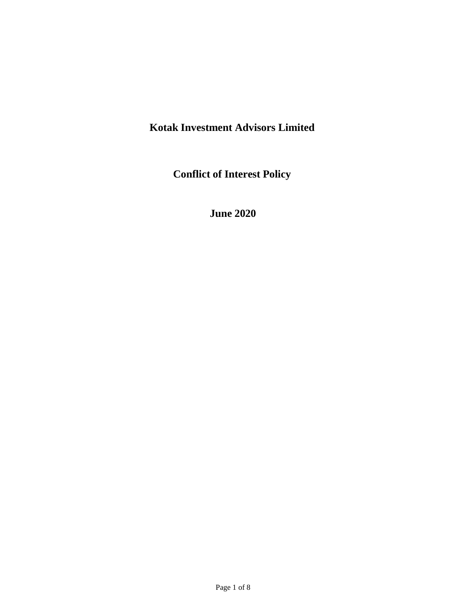# **Kotak Investment Advisors Limited**

**Conflict of Interest Policy**

**June 2020**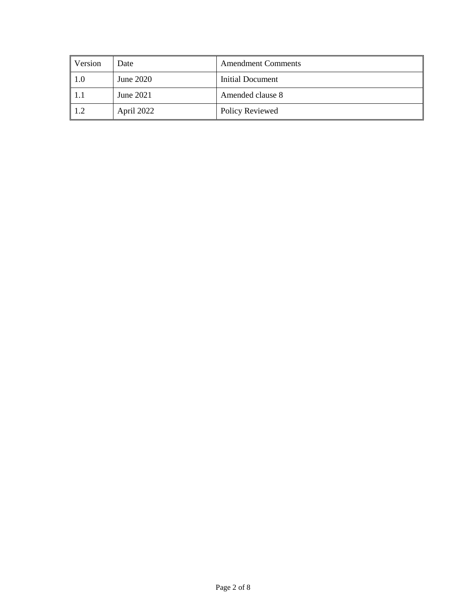| Version | Date       | <b>Amendment Comments</b> |
|---------|------------|---------------------------|
| -1.0    | June 2020  | Initial Document          |
| -1.1    | June 2021  | Amended clause 8          |
| 1.2     | April 2022 | Policy Reviewed           |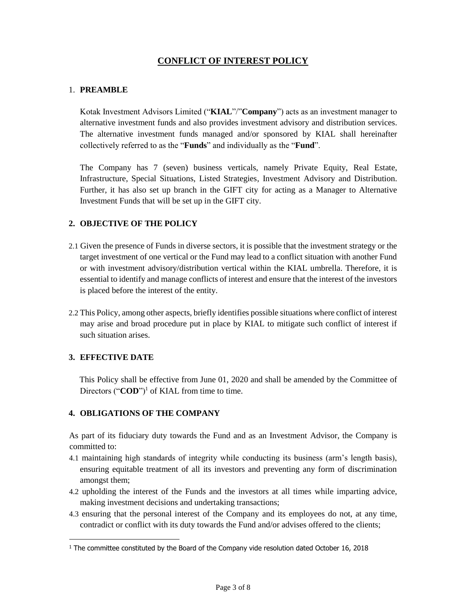# **CONFLICT OF INTEREST POLICY**

### 1. **PREAMBLE**

Kotak Investment Advisors Limited ("**KIAL**"/"**Company**") acts as an investment manager to alternative investment funds and also provides investment advisory and distribution services. The alternative investment funds managed and/or sponsored by KIAL shall hereinafter collectively referred to as the "**Funds**" and individually as the "**Fund**".

The Company has 7 (seven) business verticals, namely Private Equity, Real Estate, Infrastructure, Special Situations, Listed Strategies, Investment Advisory and Distribution. Further, it has also set up branch in the GIFT city for acting as a Manager to Alternative Investment Funds that will be set up in the GIFT city.

## **2. OBJECTIVE OF THE POLICY**

- 2.1 Given the presence of Funds in diverse sectors, it is possible that the investment strategy or the target investment of one vertical or the Fund may lead to a conflict situation with another Fund or with investment advisory/distribution vertical within the KIAL umbrella. Therefore, it is essential to identify and manage conflicts of interest and ensure that the interest of the investors is placed before the interest of the entity.
- 2.2 This Policy, among other aspects, briefly identifies possible situations where conflict of interest may arise and broad procedure put in place by KIAL to mitigate such conflict of interest if such situation arises.

#### **3. EFFECTIVE DATE**

This Policy shall be effective from June 01, 2020 and shall be amended by the Committee of Directors ("**COD**")<sup>1</sup> of KIAL from time to time.

## **4. OBLIGATIONS OF THE COMPANY**

As part of its fiduciary duty towards the Fund and as an Investment Advisor, the Company is committed to:

- 4.1 maintaining high standards of integrity while conducting its business (arm's length basis), ensuring equitable treatment of all its investors and preventing any form of discrimination amongst them;
- 4.2 upholding the interest of the Funds and the investors at all times while imparting advice, making investment decisions and undertaking transactions;
- 4.3 ensuring that the personal interest of the Company and its employees do not, at any time, contradict or conflict with its duty towards the Fund and/or advises offered to the clients;

<sup>&</sup>lt;sup>1</sup> The committee constituted by the Board of the Company vide resolution dated October 16, 2018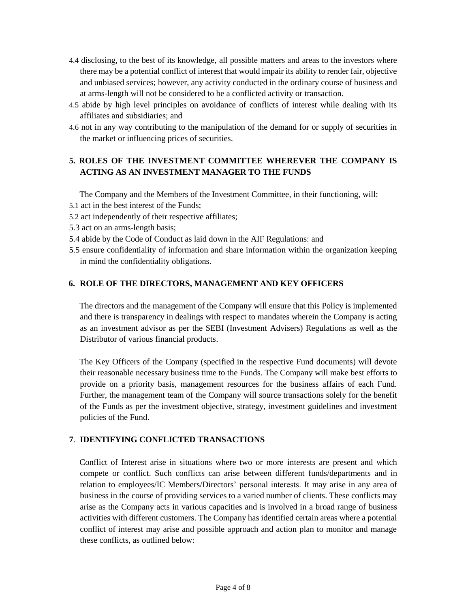- 4.4 disclosing, to the best of its knowledge, all possible matters and areas to the investors where there may be a potential conflict of interest that would impair its ability to render fair, objective and unbiased services; however, any activity conducted in the ordinary course of business and at arms-length will not be considered to be a conflicted activity or transaction.
- 4.5 abide by high level principles on avoidance of conflicts of interest while dealing with its affiliates and subsidiaries; and
- 4.6 not in any way contributing to the manipulation of the demand for or supply of securities in the market or influencing prices of securities.

# **5. ROLES OF THE INVESTMENT COMMITTEE WHEREVER THE COMPANY IS ACTING AS AN INVESTMENT MANAGER TO THE FUNDS**

The Company and the Members of the Investment Committee, in their functioning, will:

- 5.1 act in the best interest of the Funds;
- 5.2 act independently of their respective affiliates;
- 5.3 act on an arms-length basis;
- 5.4 abide by the Code of Conduct as laid down in the AIF Regulations: and
- 5.5 ensure confidentiality of information and share information within the organization keeping in mind the confidentiality obligations.

#### **6. ROLE OF THE DIRECTORS, MANAGEMENT AND KEY OFFICERS**

The directors and the management of the Company will ensure that this Policy is implemented and there is transparency in dealings with respect to mandates wherein the Company is acting as an investment advisor as per the SEBI (Investment Advisers) Regulations as well as the Distributor of various financial products.

The Key Officers of the Company (specified in the respective Fund documents) will devote their reasonable necessary business time to the Funds. The Company will make best efforts to provide on a priority basis, management resources for the business affairs of each Fund. Further, the management team of the Company will source transactions solely for the benefit of the Funds as per the investment objective, strategy, investment guidelines and investment policies of the Fund.

#### **7**. **IDENTIFYING CONFLICTED TRANSACTIONS**

Conflict of Interest arise in situations where two or more interests are present and which compete or conflict. Such conflicts can arise between different funds/departments and in relation to employees/IC Members/Directors' personal interests. It may arise in any area of business in the course of providing services to a varied number of clients. These conflicts may arise as the Company acts in various capacities and is involved in a broad range of business activities with different customers. The Company has identified certain areas where a potential conflict of interest may arise and possible approach and action plan to monitor and manage these conflicts, as outlined below: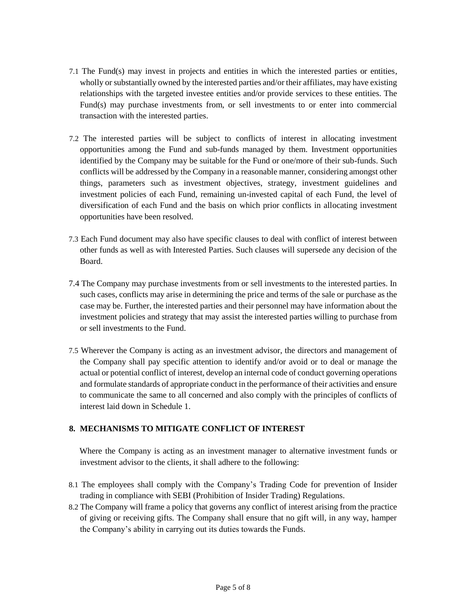- 7.1 The Fund(s) may invest in projects and entities in which the interested parties or entities, wholly or substantially owned by the interested parties and/or their affiliates, may have existing relationships with the targeted investee entities and/or provide services to these entities. The Fund(s) may purchase investments from, or sell investments to or enter into commercial transaction with the interested parties.
- 7.2 The interested parties will be subject to conflicts of interest in allocating investment opportunities among the Fund and sub-funds managed by them. Investment opportunities identified by the Company may be suitable for the Fund or one/more of their sub-funds. Such conflicts will be addressed by the Company in a reasonable manner, considering amongst other things, parameters such as investment objectives, strategy, investment guidelines and investment policies of each Fund, remaining un-invested capital of each Fund, the level of diversification of each Fund and the basis on which prior conflicts in allocating investment opportunities have been resolved.
- 7.3 Each Fund document may also have specific clauses to deal with conflict of interest between other funds as well as with Interested Parties. Such clauses will supersede any decision of the Board.
- 7.4 The Company may purchase investments from or sell investments to the interested parties. In such cases, conflicts may arise in determining the price and terms of the sale or purchase as the case may be. Further, the interested parties and their personnel may have information about the investment policies and strategy that may assist the interested parties willing to purchase from or sell investments to the Fund.
- 7.5 Wherever the Company is acting as an investment advisor, the directors and management of the Company shall pay specific attention to identify and/or avoid or to deal or manage the actual or potential conflict of interest, develop an internal code of conduct governing operations and formulate standards of appropriate conduct in the performance of their activities and ensure to communicate the same to all concerned and also comply with the principles of conflicts of interest laid down in Schedule 1.

#### **8. MECHANISMS TO MITIGATE CONFLICT OF INTEREST**

Where the Company is acting as an investment manager to alternative investment funds or investment advisor to the clients, it shall adhere to the following:

- 8.1 The employees shall comply with the Company's Trading Code for prevention of Insider trading in compliance with SEBI (Prohibition of Insider Trading) Regulations.
- 8.2 The Company will frame a policy that governs any conflict of interest arising from the practice of giving or receiving gifts. The Company shall ensure that no gift will, in any way, hamper the Company's ability in carrying out its duties towards the Funds.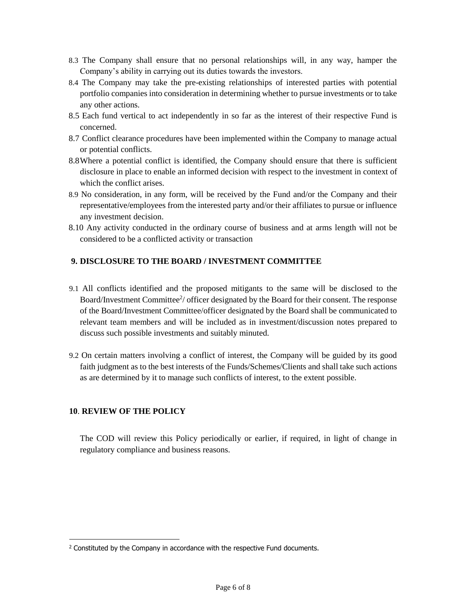- 8.3 The Company shall ensure that no personal relationships will, in any way, hamper the Company's ability in carrying out its duties towards the investors.
- 8.4 The Company may take the pre-existing relationships of interested parties with potential portfolio companies into consideration in determining whether to pursue investments or to take any other actions.
- 8.5 Each fund vertical to act independently in so far as the interest of their respective Fund is concerned.
- 8.7 Conflict clearance procedures have been implemented within the Company to manage actual or potential conflicts.
- 8.8Where a potential conflict is identified, the Company should ensure that there is sufficient disclosure in place to enable an informed decision with respect to the investment in context of which the conflict arises.
- 8.9 No consideration, in any form, will be received by the Fund and/or the Company and their representative/employees from the interested party and/or their affiliates to pursue or influence any investment decision.
- 8.10 Any activity conducted in the ordinary course of business and at arms length will not be considered to be a conflicted activity or transaction

# **9. DISCLOSURE TO THE BOARD / INVESTMENT COMMITTEE**

- 9.1 All conflicts identified and the proposed mitigants to the same will be disclosed to the Board/Investment Committee<sup>2</sup>/ officer designated by the Board for their consent. The response of the Board/Investment Committee/officer designated by the Board shall be communicated to relevant team members and will be included as in investment/discussion notes prepared to discuss such possible investments and suitably minuted.
- 9.2 On certain matters involving a conflict of interest, the Company will be guided by its good faith judgment as to the best interests of the Funds/Schemes/Clients and shall take such actions as are determined by it to manage such conflicts of interest, to the extent possible.

## **10**. **REVIEW OF THE POLICY**

The COD will review this Policy periodically or earlier, if required, in light of change in regulatory compliance and business reasons.

<sup>&</sup>lt;sup>2</sup> Constituted by the Company in accordance with the respective Fund documents.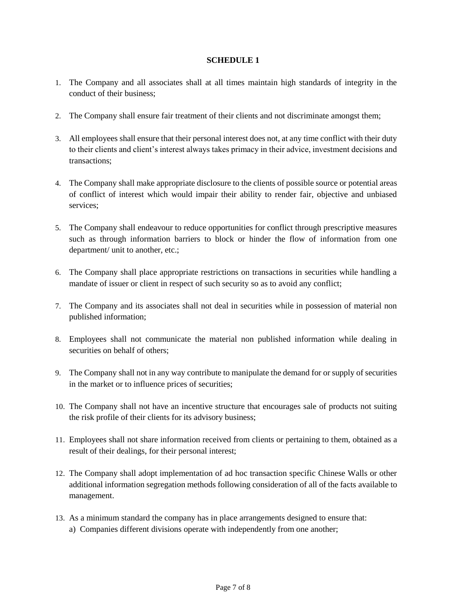#### **SCHEDULE 1**

- 1. The Company and all associates shall at all times maintain high standards of integrity in the conduct of their business;
- 2. The Company shall ensure fair treatment of their clients and not discriminate amongst them;
- 3. All employees shall ensure that their personal interest does not, at any time conflict with their duty to their clients and client's interest always takes primacy in their advice, investment decisions and transactions;
- 4. The Company shall make appropriate disclosure to the clients of possible source or potential areas of conflict of interest which would impair their ability to render fair, objective and unbiased services;
- 5. The Company shall endeavour to reduce opportunities for conflict through prescriptive measures such as through information barriers to block or hinder the flow of information from one department/ unit to another, etc.;
- 6. The Company shall place appropriate restrictions on transactions in securities while handling a mandate of issuer or client in respect of such security so as to avoid any conflict;
- 7. The Company and its associates shall not deal in securities while in possession of material non published information;
- 8. Employees shall not communicate the material non published information while dealing in securities on behalf of others;
- 9. The Company shall not in any way contribute to manipulate the demand for or supply of securities in the market or to influence prices of securities;
- 10. The Company shall not have an incentive structure that encourages sale of products not suiting the risk profile of their clients for its advisory business;
- 11. Employees shall not share information received from clients or pertaining to them, obtained as a result of their dealings, for their personal interest;
- 12. The Company shall adopt implementation of ad hoc transaction specific Chinese Walls or other additional information segregation methods following consideration of all of the facts available to management.
- 13. As a minimum standard the company has in place arrangements designed to ensure that: a) Companies different divisions operate with independently from one another;